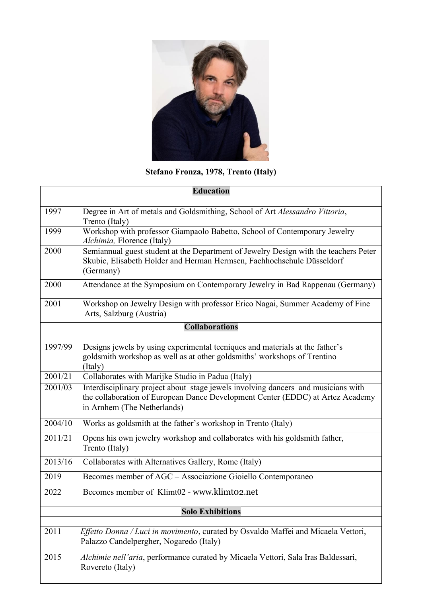

## **Stefano Fronza, 1978, Trento (Italy)**

| <b>Education</b>        |                                                                                                                                                                                                    |  |
|-------------------------|----------------------------------------------------------------------------------------------------------------------------------------------------------------------------------------------------|--|
|                         |                                                                                                                                                                                                    |  |
| 1997                    | Degree in Art of metals and Goldsmithing, School of Art Alessandro Vittoria,<br>Trento (Italy)                                                                                                     |  |
| 1999                    | Workshop with professor Giampaolo Babetto, School of Contemporary Jewelry<br>Alchimia, Florence (Italy)                                                                                            |  |
| 2000                    | Semiannual guest student at the Department of Jewelry Design with the teachers Peter<br>Skubic, Elisabeth Holder and Herman Hermsen, Fachhochschule Düsseldorf<br>(Germany)                        |  |
| 2000                    | Attendance at the Symposium on Contemporary Jewelry in Bad Rappenau (Germany)                                                                                                                      |  |
| 2001                    | Workshop on Jewelry Design with professor Erico Nagai, Summer Academy of Fine<br>Arts, Salzburg (Austria)                                                                                          |  |
|                         | <b>Collaborations</b>                                                                                                                                                                              |  |
|                         |                                                                                                                                                                                                    |  |
| 1997/99                 | Designs jewels by using experimental tecniques and materials at the father's<br>goldsmith workshop as well as at other goldsmiths' workshops of Trentino<br>(Italy)                                |  |
| 2001/21                 | Collaborates with Marijke Studio in Padua (Italy)                                                                                                                                                  |  |
| 2001/03                 | Interdisciplinary project about stage jewels involving dancers and musicians with<br>the collaboration of European Dance Development Center (EDDC) at Artez Academy<br>in Arnhem (The Netherlands) |  |
| 2004/10                 | Works as goldsmith at the father's workshop in Trento (Italy)                                                                                                                                      |  |
| 2011/21                 | Opens his own jewelry workshop and collaborates with his goldsmith father,<br>Trento (Italy)                                                                                                       |  |
| 2013/16                 | Collaborates with Alternatives Gallery, Rome (Italy)                                                                                                                                               |  |
| 2019                    | Becomes member of AGC - Associazione Gioiello Contemporaneo                                                                                                                                        |  |
| 2022                    | Becomes member of Klimt02 - www.klimt02.net                                                                                                                                                        |  |
| <b>Solo Exhibitions</b> |                                                                                                                                                                                                    |  |
|                         |                                                                                                                                                                                                    |  |
| 2011                    | Effetto Donna / Luci in movimento, curated by Osvaldo Maffei and Micaela Vettori,<br>Palazzo Candelpergher, Nogaredo (Italy)                                                                       |  |
| 2015                    | Alchimie nell'aria, performance curated by Micaela Vettori, Sala Iras Baldessari,<br>Rovereto (Italy)                                                                                              |  |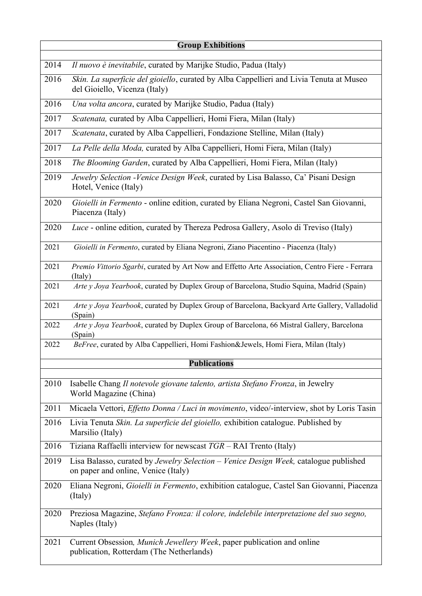| <b>Group Exhibitions</b> |                                                                                                                             |  |
|--------------------------|-----------------------------------------------------------------------------------------------------------------------------|--|
| 2014                     | Il nuovo è inevitabile, curated by Marijke Studio, Padua (Italy)                                                            |  |
| 2016                     | Skin. La superficie del gioiello, curated by Alba Cappellieri and Livia Tenuta at Museo<br>del Gioiello, Vicenza (Italy)    |  |
| 2016                     | Una volta ancora, curated by Marijke Studio, Padua (Italy)                                                                  |  |
| 2017                     | Scatenata, curated by Alba Cappellieri, Homi Fiera, Milan (Italy)                                                           |  |
| 2017                     | Scatenata, curated by Alba Cappellieri, Fondazione Stelline, Milan (Italy)                                                  |  |
| 2017                     | La Pelle della Moda, curated by Alba Cappellieri, Homi Fiera, Milan (Italy)                                                 |  |
| 2018                     | The Blooming Garden, curated by Alba Cappellieri, Homi Fiera, Milan (Italy)                                                 |  |
| 2019                     | Jewelry Selection - Venice Design Week, curated by Lisa Balasso, Ca' Pisani Design<br>Hotel, Venice (Italy)                 |  |
| 2020                     | Gioielli in Fermento - online edition, curated by Eliana Negroni, Castel San Giovanni,<br>Piacenza (Italy)                  |  |
| 2020                     | Luce - online edition, curated by Thereza Pedrosa Gallery, Asolo di Treviso (Italy)                                         |  |
| 2021                     | Gioielli in Fermento, curated by Eliana Negroni, Ziano Piacentino - Piacenza (Italy)                                        |  |
| 2021                     | Premio Vittorio Sgarbi, curated by Art Now and Effetto Arte Association, Centro Fiere - Ferrara<br>(Italy)                  |  |
| 2021                     | Arte y Joya Yearbook, curated by Duplex Group of Barcelona, Studio Squina, Madrid (Spain)                                   |  |
| 2021                     | Arte y Joya Yearbook, curated by Duplex Group of Barcelona, Backyard Arte Gallery, Valladolid<br>(Spain)                    |  |
| 2022                     | Arte y Joya Yearbook, curated by Duplex Group of Barcelona, 66 Mistral Gallery, Barcelona<br>(Spain)                        |  |
| 2022                     | BeFree, curated by Alba Cappellieri, Homi Fashion&Jewels, Homi Fiera, Milan (Italy)                                         |  |
| <b>Publications</b>      |                                                                                                                             |  |
| 2010                     | Isabelle Chang Il notevole giovane talento, artista Stefano Fronza, in Jewelry<br>World Magazine (China)                    |  |
| 2011                     | Micaela Vettori, <i>Effetto Donna / Luci in movimento</i> , video/-interview, shot by Loris Tasin                           |  |
| 2016                     | Livia Tenuta Skin. La superficie del gioiello, exhibition catalogue. Published by<br>Marsilio (Italy)                       |  |
| 2016                     | Tiziana Raffaelli interview for newscast TGR - RAI Trento (Italy)                                                           |  |
| 2019                     | Lisa Balasso, curated by Jewelry Selection – Venice Design Week, catalogue published<br>on paper and online, Venice (Italy) |  |
| 2020                     | Eliana Negroni, Gioielli in Fermento, exhibition catalogue, Castel San Giovanni, Piacenza<br>(Italy)                        |  |
| 2020                     | Preziosa Magazine, Stefano Fronza: il colore, indelebile interpretazione del suo segno,<br>Naples (Italy)                   |  |
| 2021                     | Current Obsession, Munich Jewellery Week, paper publication and online<br>publication, Rotterdam (The Netherlands)          |  |